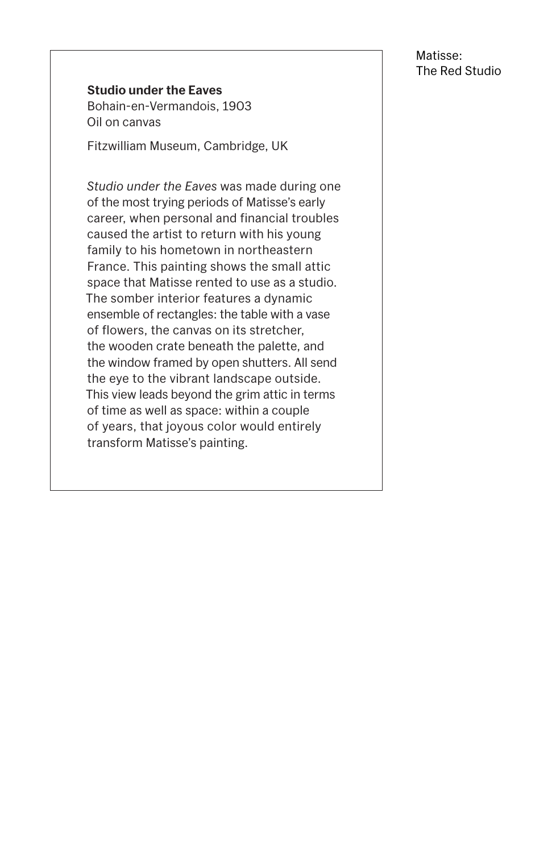#### **Studio under the Eaves**

Bohain-en-Vermandois, 1903 Oil on canvas

Fitzwilliam Museum, Cambridge, UK

*Studio under the Eaves* was made during one of the most trying periods of Matisse's early career, when personal and financial troubles caused the artist to return with his young family to his hometown in northeastern France. This painting shows the small attic space that Matisse rented to use as a studio. The somber interior features a dynamic ensemble of rectangles: the table with a vase of flowers, the canvas on its stretcher, the wooden crate beneath the palette, and the window framed by open shutters. All send the eye to the vibrant landscape outside. This view leads beyond the grim attic in terms of time as well as space: within a couple of years, that joyous color would entirely transform Matisse's painting.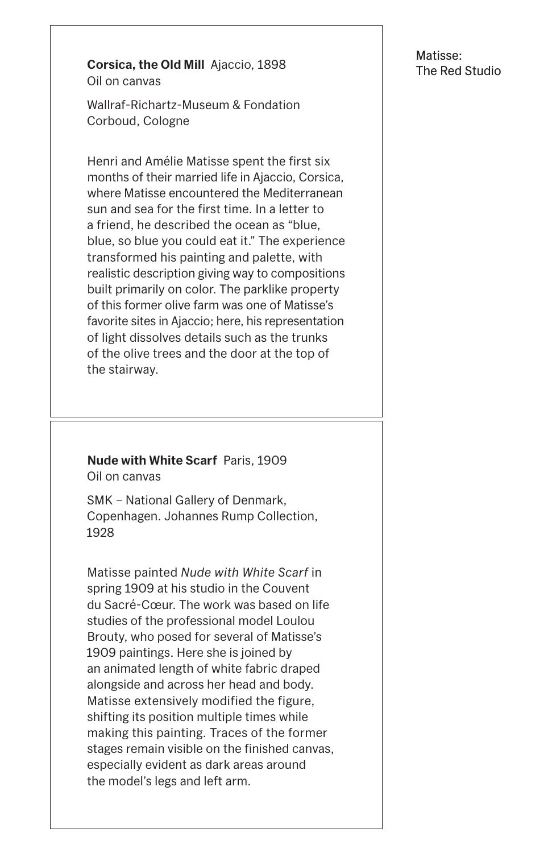**Corsica, the Old Mill** Ajaccio, 1898 Oil on canvas

Wallraf-Richartz-Museum & Fondation Corboud, Cologne

Henri and Amélie Matisse spent the first six months of their married life in Ajaccio, Corsica, where Matisse encountered the Mediterranean sun and sea for the first time. In a letter to a friend, he described the ocean as "blue, blue, so blue you could eat it." The experience transformed his painting and palette, with realistic description giving way to compositions built primarily on color. The parklike property of this former olive farm was one of Matisse's favorite sites in Ajaccio; here, his representation of light dissolves details such as the trunks of the olive trees and the door at the top of the stairway.

## **Nude with White Scarf** Paris, 1909

Oil on canvas

SMK – National Gallery of Denmark, Copenhagen. Johannes Rump Collection, 1928

Matisse painted *Nude with White Scarf* in spring 1909 at his studio in the Couvent du Sacré-Cœur. The work was based on life studies of the professional model Loulou

Brouty, who posed for several of Matisse's 1909 paintings. Here she is joined by an animated length of white fabric draped alongside and across her head and body. Matisse extensively modified the figure, shifting its position multiple times while making this painting. Traces of the former stages remain visible on the finished canvas, especially evident as dark areas around the model's legs and left arm.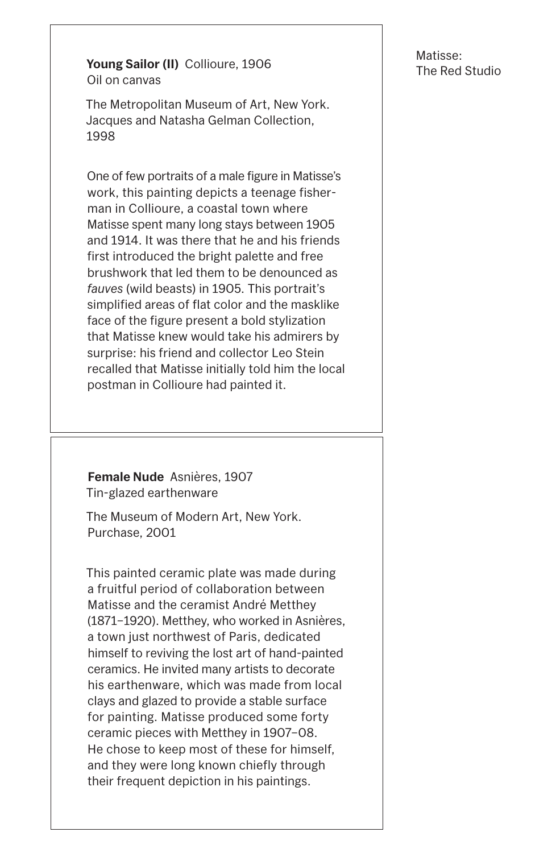Matisse:

**Young Sailor (II)** Collioure, 1906<br>
The Red Studio Oil on canvas

The Metropolitan Museum of Art, New York. Jacques and Natasha Gelman Collection, 1998

One of few portraits of a male figure in Matisse's work, this painting depicts a teenage fisherman in Collioure, a coastal town where Matisse spent many long stays between 1905 and 1914. It was there that he and his friends first introduced the bright palette and free brushwork that led them to be denounced as *fauves* (wild beasts) in 1905. This portrait's simplified areas of flat color and the masklike face of the figure present a bold stylization that Matisse knew would take his admirers by surprise: his friend and collector Leo Stein recalled that Matisse initially told him the local postman in Collioure had painted it.

**Female Nude** Asnières, 1907 Tin-glazed earthenware

The Museum of Modern Art, New York. Purchase, 2001

This painted ceramic plate was made during a fruitful period of collaboration between Matisse and the ceramist André Metthey (1871–1920). Metthey, who worked in Asnières,

a town just northwest of Paris, dedicated himself to reviving the lost art of hand-painted ceramics. He invited many artists to decorate his earthenware, which was made from local clays and glazed to provide a stable surface for painting. Matisse produced some forty ceramic pieces with Metthey in 1907–08. He chose to keep most of these for himself, and they were long known chiefly through their frequent depiction in his paintings.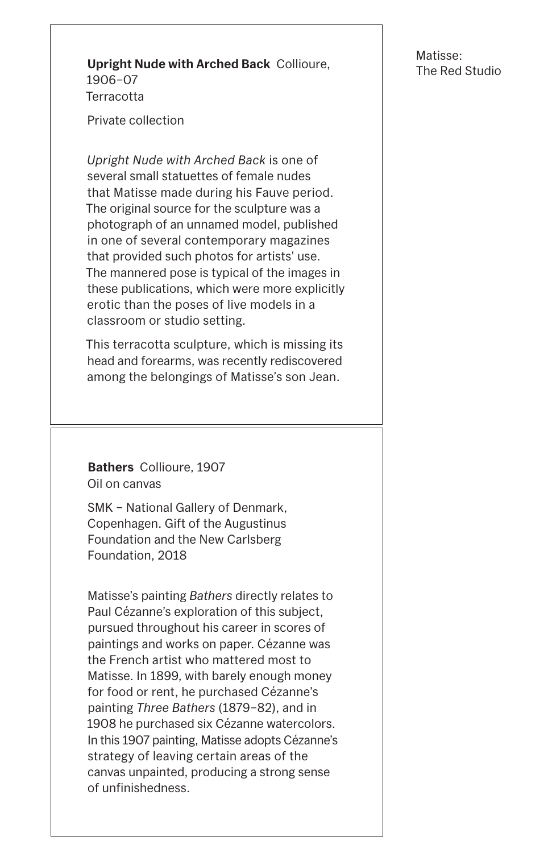Matisse:

#### **Upright Nude with Arched Back** Collioure, The Red Studio 1906–07 **Terracotta**

Private collection

*Upright Nude with Arched Back* is one of several small statuettes of female nudes that Matisse made during his Fauve period. The original source for the sculpture was a photograph of an unnamed model, published in one of several contemporary magazines that provided such photos for artists' use. The mannered pose is typical of the images in these publications, which were more explicitly erotic than the poses of live models in a classroom or studio setting.

This terracotta sculpture, which is missing its head and forearms, was recently rediscovered among the belongings of Matisse's son Jean.

**Bathers** Collioure, 1907 Oil on canvas

SMK – National Gallery of Denmark, Copenhagen. Gift of the Augustinus Foundation and the New Carlsberg Foundation, 2018

Matisse's painting *Bathers* directly relates to Paul Cézanne's exploration of this subject, pursued throughout his career in scores of paintings and works on paper. Cézanne was the French artist who mattered most to Matisse. In 1899, with barely enough money for food or rent, he purchased Cézanne's painting *Three Bathers* (1879–82), and in 1908 he purchased six Cézanne watercolors. In this 1907 painting, Matisse adopts Cézanne's strategy of leaving certain areas of the canvas unpainted, producing a strong sense of unfinishedness.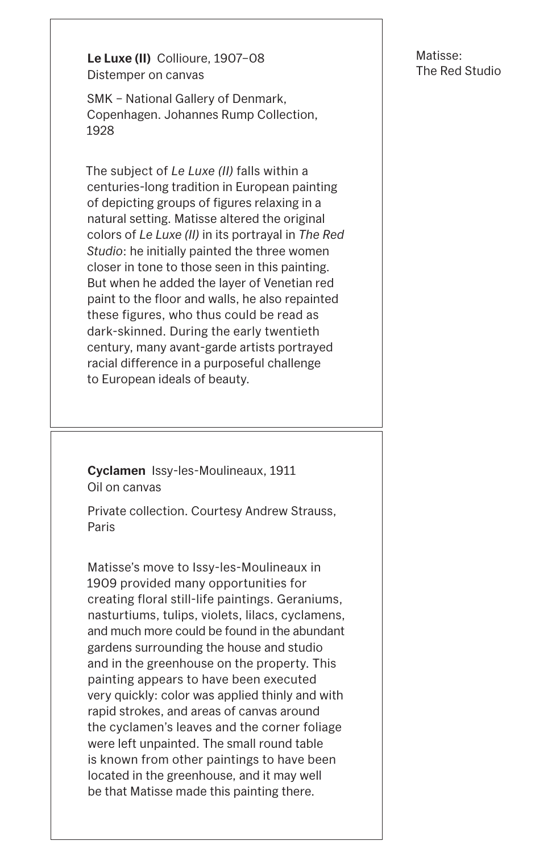**Le Luxe (II)** Collioure, 1907–08 Distemper on canvas

SMK – National Gallery of Denmark, Copenhagen. Johannes Rump Collection, 1928

The subject of *Le Luxe (II)* falls within a centuries-long tradition in European painting of depicting groups of figures relaxing in a natural setting. Matisse altered the original colors of *Le Luxe (II)* in its portrayal in *The Red Studio*: he initially painted the three women closer in tone to those seen in this painting. But when he added the layer of Venetian red paint to the floor and walls, he also repainted these figures, who thus could be read as dark-skinned. During the early twentieth century, many avant-garde artists portrayed racial difference in a purposeful challenge to European ideals of beauty.

**Cyclamen** Issy-les-Moulineaux, 1911 Oil on canvas

Private collection. Courtesy Andrew Strauss, Paris

Matisse's move to Issy-les-Moulineaux in 1909 provided many opportunities for creating floral still-life paintings. Geraniums, nasturtiums, tulips, violets, lilacs, cyclamens, and much more could be found in the abundant gardens surrounding the house and studio and in the greenhouse on the property. This painting appears to have been executed very quickly: color was applied thinly and with rapid strokes, and areas of canvas around the cyclamen's leaves and the corner foliage were left unpainted. The small round table is known from other paintings to have been located in the greenhouse, and it may well be that Matisse made this painting there.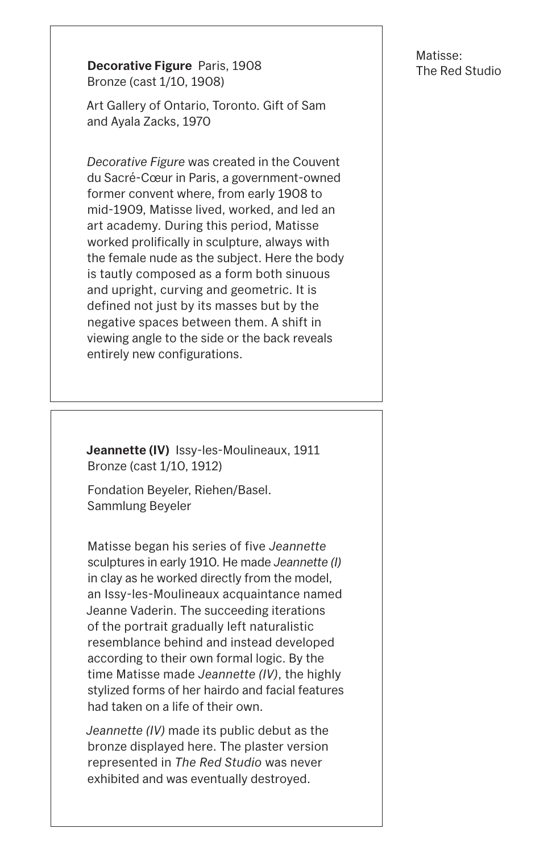Matisse:

**Decorative Figure** Paris, 1908<br>
The Red Studio Bronze (cast 1/10, 1908)

Art Gallery of Ontario, Toronto. Gift of Sam and Ayala Zacks, 1970

*Decorative Figure* was created in the Couvent du Sacré-Cœur in Paris, a government-owned former convent where, from early 1908 to mid-1909, Matisse lived, worked, and led an art academy. During this period, Matisse worked prolifically in sculpture, always with the female nude as the subject. Here the body is tautly composed as a form both sinuous and upright, curving and geometric. It is defined not just by its masses but by the negative spaces between them. A shift in viewing angle to the side or the back reveals entirely new configurations.

**Jeannette (IV)** Issy-les-Moulineaux, 1911 Bronze (cast 1/10, 1912)

Fondation Beyeler, Riehen/Basel. Sammlung Beyeler

Matisse began his series of five *Jeannette* sculptures in early 1910. He made *Jeannette (I)* in clay as he worked directly from the model, an Issy-les-Moulineaux acquaintance named Jeanne Vaderin. The succeeding iterations of the portrait gradually left naturalistic resemblance behind and instead developed according to their own formal logic. By the time Matisse made *Jeannette (IV)*, the highly stylized forms of her hairdo and facial features had taken on a life of their own.

*Jeannette (IV)* made its public debut as the bronze displayed here. The plaster version represented in *The Red Studio* was never exhibited and was eventually destroyed.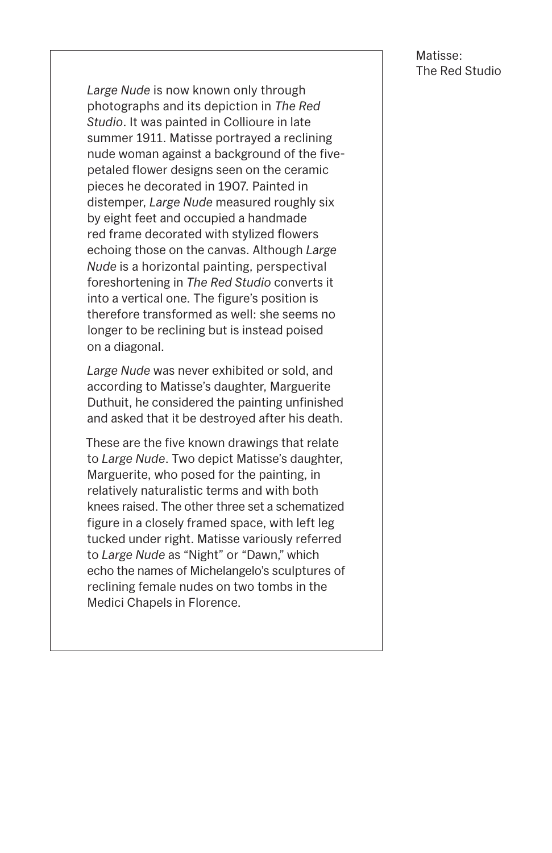

*Large Nude* is now known only through photographs and its depiction in *The Red Studio*. It was painted in Collioure in late summer 1911. Matisse portrayed a reclining nude woman against a background of the fivepetaled flower designs seen on the ceramic pieces he decorated in 1907. Painted in distemper, *Large Nude* measured roughly six by eight feet and occupied a handmade red frame decorated with stylized flowers echoing those on the canvas. Although *Large Nude* is a horizontal painting, perspectival foreshortening in *The Red Studio* converts it into a vertical one. The figure's position is therefore transformed as well: she seems no longer to be reclining but is instead poised on a diagonal.

*Large Nude* was never exhibited or sold, and according to Matisse's daughter, Marguerite Duthuit, he considered the painting unfinished and asked that it be destroyed after his death.

These are the five known drawings that relate to *Large Nude*. Two depict Matisse's daughter, Marguerite, who posed for the painting, in relatively naturalistic terms and with both knees raised. The other three set a schematized figure in a closely framed space, with left leg tucked under right. Matisse variously referred to *Large Nude* as "Night" or "Dawn," which echo the names of Michelangelo's sculptures of reclining female nudes on two tombs in the Medici Chapels in Florence.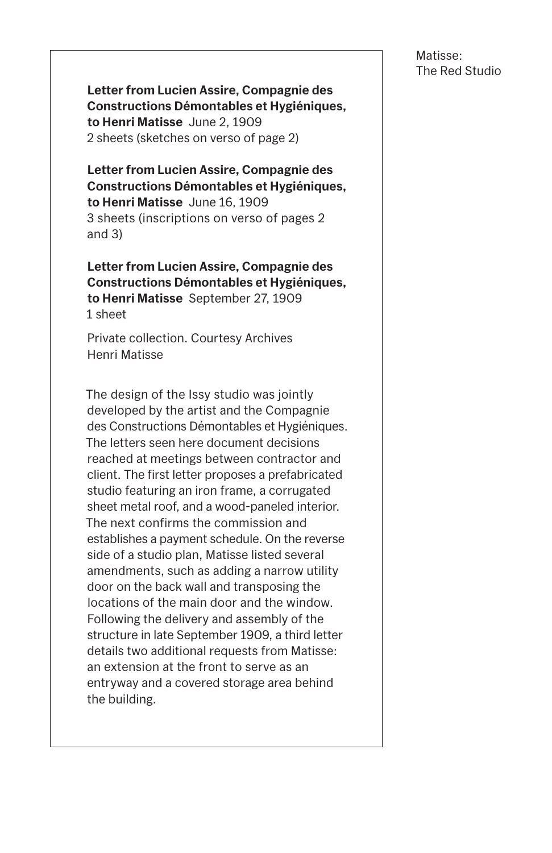**Letter from Lucien Assire, Compagnie des Constructions Démontables et Hygiéniques, to Henri Matisse** June 2, 1909 2 sheets (sketches on verso of page 2)

**Letter from Lucien Assire, Compagnie des Constructions Démontables et Hygiéniques, to Henri Matisse** June 16, 1909 3 sheets (inscriptions on verso of pages 2 and 3)

**Letter from Lucien Assire, Compagnie des Constructions Démontables et Hygiéniques, to Henri Matisse** September 27, 1909 1 sheet

Private collection. Courtesy Archives Henri Matisse

The design of the Issy studio was jointly developed by the artist and the Compagnie des Constructions Démontables et Hygiéniques. The letters seen here document decisions reached at meetings between contractor and client. The first letter proposes a prefabricated studio featuring an iron frame, a corrugated sheet metal roof, and a wood-paneled interior. The next confirms the commission and establishes a payment schedule. On the reverse side of a studio plan, Matisse listed several amendments, such as adding a narrow utility door on the back wall and transposing the locations of the main door and the window. Following the delivery and assembly of the structure in late September 1909, a third letter details two additional requests from Matisse: an extension at the front to serve as an entryway and a covered storage area behind the building.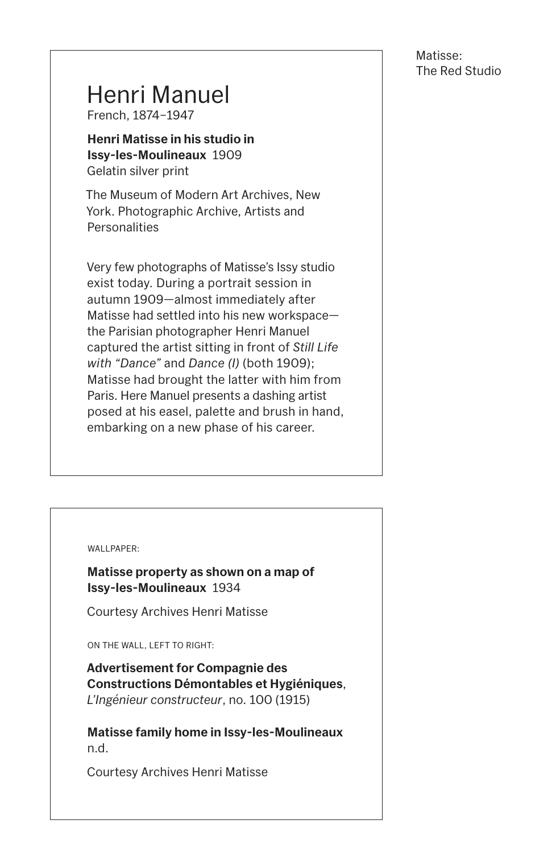# Henri Manuel

French, 1874–1947

The Museum of Modern Art Archives, New York. Photographic Archive, Artists and **Personalities** 

**Henri Matisse in his studio in Issy-les-Moulineaux** 1909 Gelatin silver print

Very few photographs of Matisse's Issy studio exist today. During a portrait session in autumn 1909—almost immediately after Matisse had settled into his new workspace the Parisian photographer Henri Manuel captured the artist sitting in front of *Still Life with "Dance"* and *Dance (I)* (both 1909); Matisse had brought the latter with him from Paris. Here Manuel presents a dashing artist posed at his easel, palette and brush in hand, embarking on a new phase of his career.

WALLPAPER:

**Matisse property as shown on a map of Issy-les-Moulineaux** 1934

Courtesy Archives Henri Matisse

ON THE WALL, LEFT TO RIGHT:

**Advertisement for Compagnie des Constructions Démontables et Hygiéniques**, *L'Ingénieur constructeur*, no. 100 (1915)

**Matisse family home in Issy-les-Moulineaux** n.d.

Courtesy Archives Henri Matisse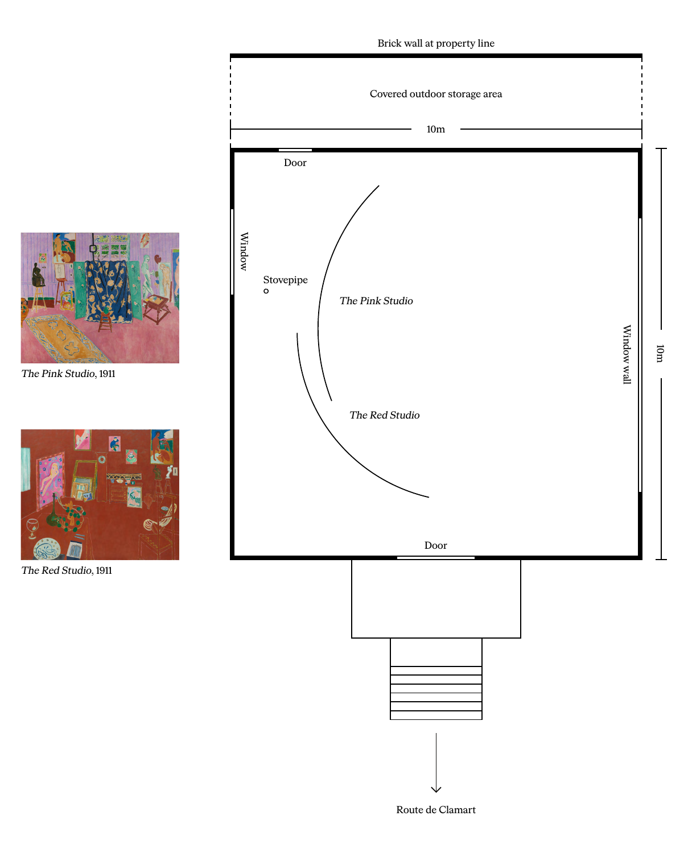Route de Clamart

The Red Studio, 1911









The Pink Studio, 1911

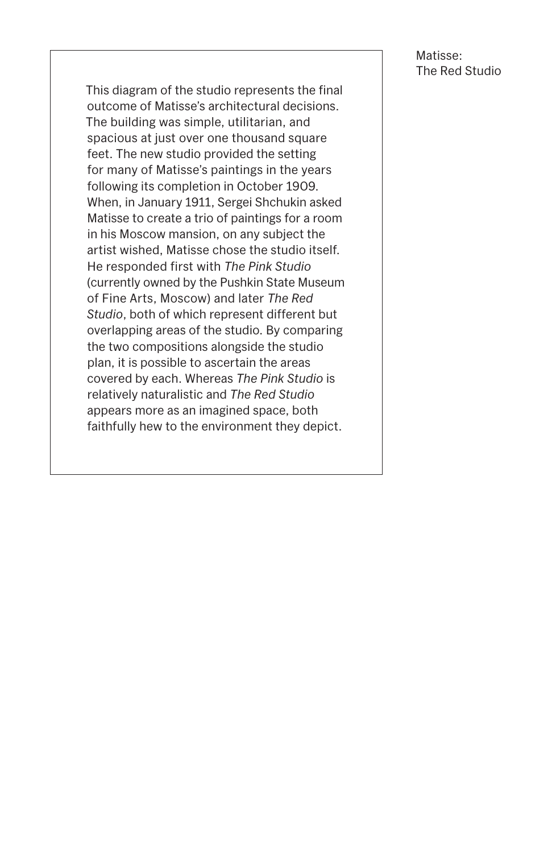This diagram of the studio represents the final outcome of Matisse's architectural decisions. The building was simple, utilitarian, and spacious at just over one thousand square feet. The new studio provided the setting for many of Matisse's paintings in the years following its completion in October 1909. When, in January 1911, Sergei Shchukin asked Matisse to create a trio of paintings for a room in his Moscow mansion, on any subject the artist wished, Matisse chose the studio itself. He responded first with *The Pink Studio* (currently owned by the Pushkin State Museum of Fine Arts, Moscow) and later *The Red Studio*, both of which represent different but overlapping areas of the studio. By comparing the two compositions alongside the studio plan, it is possible to ascertain the areas covered by each. Whereas *The Pink Studio* is relatively naturalistic and *The Red Studio* appears more as an imagined space, both faithfully hew to the environment they depict.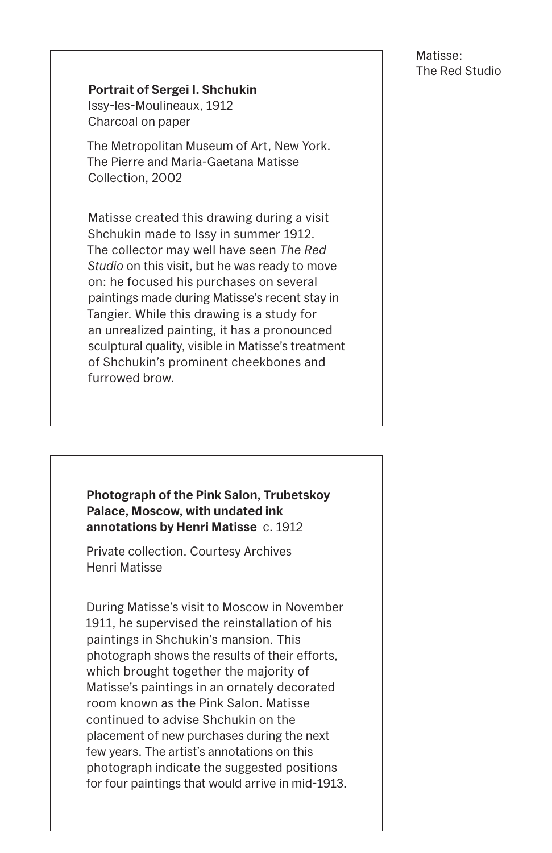**Photograph of the Pink Salon, Trubetskoy Palace, Moscow, with undated ink annotations by Henri Matisse** c. 1912

Private collection. Courtesy Archives Henri Matisse

During Matisse's visit to Moscow in November 1911, he supervised the reinstallation of his

paintings in Shchukin's mansion. This photograph shows the results of their efforts, which brought together the majority of Matisse's paintings in an ornately decorated room known as the Pink Salon. Matisse continued to advise Shchukin on the placement of new purchases during the next few years. The artist's annotations on this photograph indicate the suggested positions for four paintings that would arrive in mid-1913.

#### **Portrait of Sergei I. Shchukin**

Issy-les-Moulineaux, 1912 Charcoal on paper

The Metropolitan Museum of Art, New York. The Pierre and Maria-Gaetana Matisse Collection, 2002

Matisse created this drawing during a visit Shchukin made to Issy in summer 1912. The collector may well have seen *The Red Studio* on this visit, but he was ready to move on: he focused his purchases on several paintings made during Matisse's recent stay in Tangier. While this drawing is a study for an unrealized painting, it has a pronounced sculptural quality, visible in Matisse's treatment of Shchukin's prominent cheekbones and furrowed brow.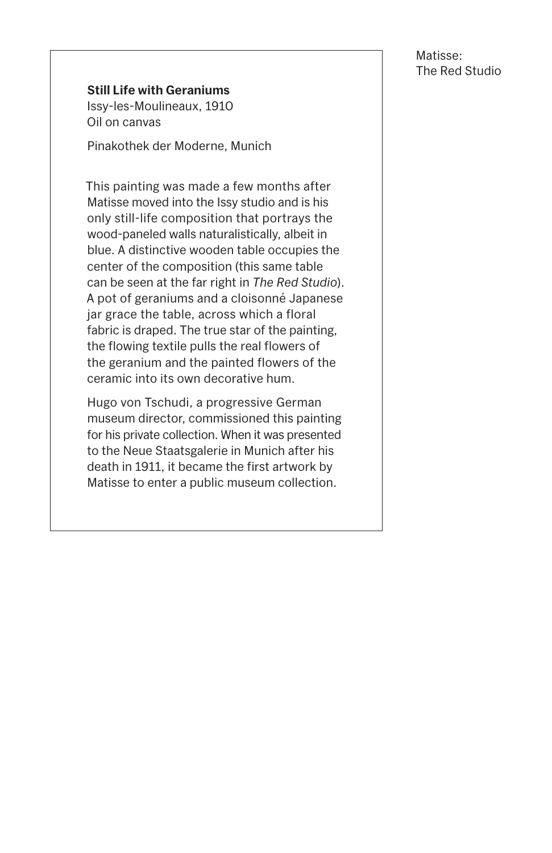#### **Still Life with Geraniums**

Issy-les-Moulineaux, 1910 Oil on canvas

Pinakothek der Moderne, Munich

This painting was made a few months after Matisse moved into the Issy studio and is his only still-life composition that portrays the wood-paneled walls naturalistically, albeit in blue. A distinctive wooden table occupies the center of the composition (this same table can be seen at the far right in *The Red Studio*). A pot of geraniums and a cloisonné Japanese jar grace the table, across which a floral fabric is draped. The true star of the painting, the flowing textile pulls the real flowers of the geranium and the painted flowers of the ceramic into its own decorative hum.

Hugo von Tschudi, a progressive German museum director, commissioned this painting for his private collection. When it was presented to the Neue Staatsgalerie in Munich after his death in 1911, it became the first artwork by Matisse to enter a public museum collection.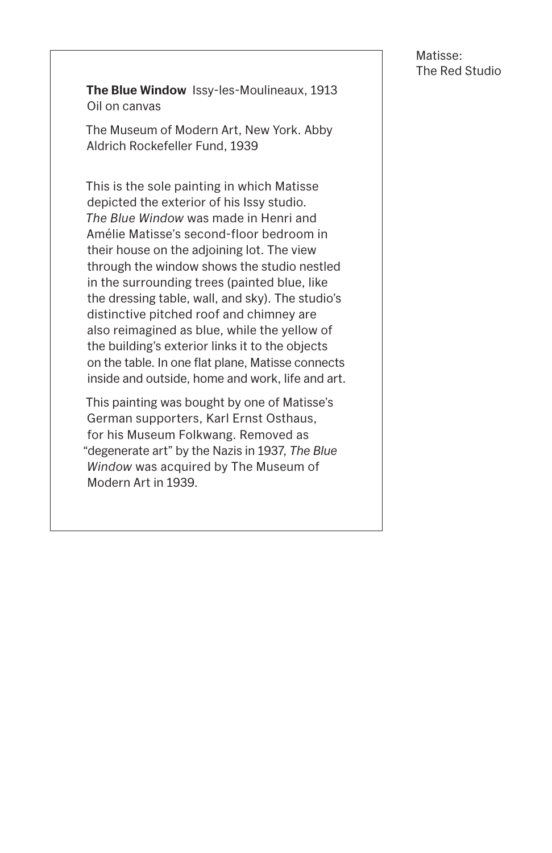**The Blue Window** Issy-les-Moulineaux, 1913 Oil on canvas

The Museum of Modern Art, New York. Abby Aldrich Rockefeller Fund, 1939

This is the sole painting in which Matisse depicted the exterior of his Issy studio. *The Blue Window* was made in Henri and Amélie Matisse's second-floor bedroom in their house on the adjoining lot. The view through the window shows the studio nestled in the surrounding trees (painted blue, like the dressing table, wall, and sky). The studio's distinctive pitched roof and chimney are also reimagined as blue, while the yellow of the building's exterior links it to the objects on the table. In one flat plane, Matisse connects inside and outside, home and work, life and art.

This painting was bought by one of Matisse's German supporters, Karl Ernst Osthaus, for his Museum Folkwang. Removed as "degenerate art" by the Nazis in 1937, *The Blue Window* was acquired by The Museum of Modern Art in 1939.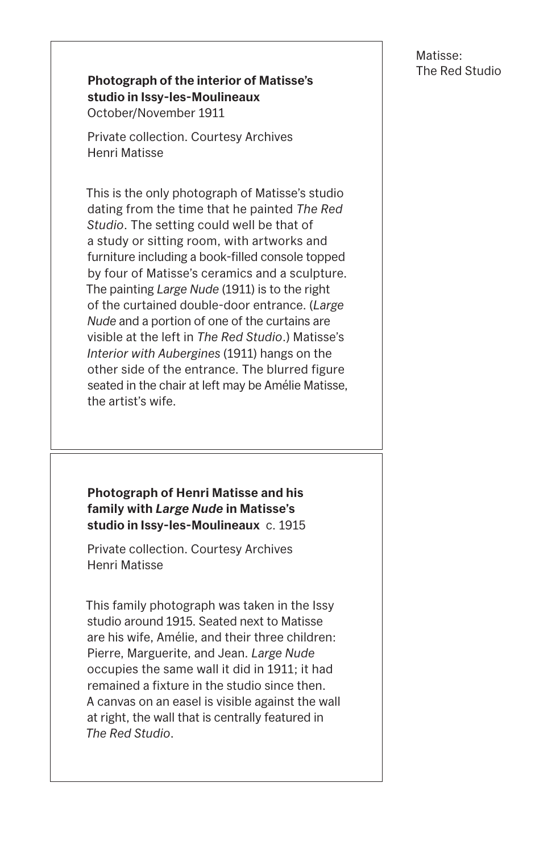#### **Photograph of the interior of Matisse's studio in Issy-les-Moulineaux** October/November 1911

Private collection. Courtesy Archives Henri Matisse

This is the only photograph of Matisse's studio dating from the time that he painted *The Red Studio*. The setting could well be that of a study or sitting room, with artworks and furniture including a book-filled console topped by four of Matisse's ceramics and a sculpture. The painting *Large Nude* (1911) is to the right of the curtained double-door entrance. (*Large Nude* and a portion of one of the curtains are visible at the left in *The Red Studio*.) Matisse's *Interior with Aubergines* (1911) hangs on the other side of the entrance. The blurred figure seated in the chair at left may be Amélie Matisse, the artist's wife.

**Photograph of Henri Matisse and his family with** *Large Nude* **in Matisse's studio in Issy-les-Moulineaux** c. 1915

Private collection. Courtesy Archives Henri Matisse

This family photograph was taken in the Issy studio around 1915. Seated next to Matisse

are his wife, Amélie, and their three children: Pierre, Marguerite, and Jean. *Large Nude* occupies the same wall it did in 1911; it had remained a fixture in the studio since then. A canvas on an easel is visible against the wall at right, the wall that is centrally featured in *The Red Studio*.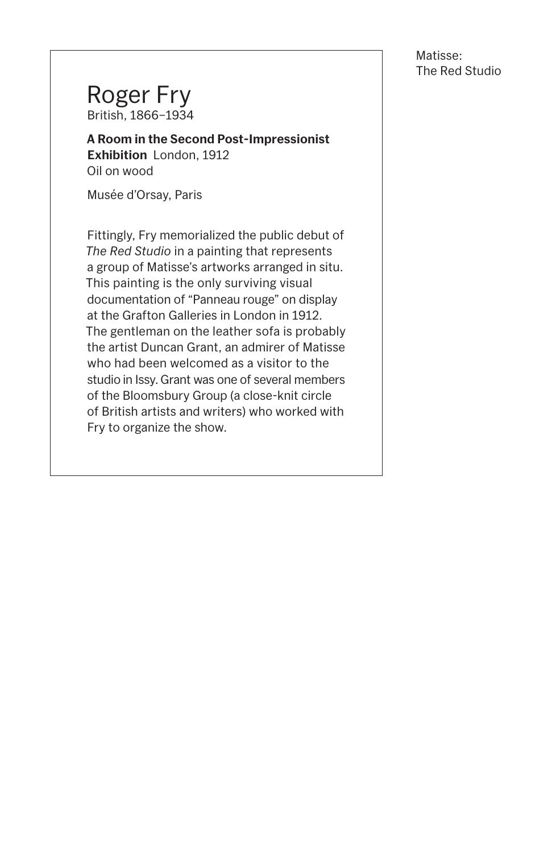### Roger Fry British, 1866–1934

**A Room in the Second Post-Impressionist Exhibition** London, 1912 Oil on wood

Musée d'Orsay, Paris

Fittingly, Fry memorialized the public debut of *The Red Studio* in a painting that represents a group of Matisse's artworks arranged in situ. This painting is the only surviving visual documentation of "Panneau rouge" on display at the Grafton Galleries in London in 1912. The gentleman on the leather sofa is probably the artist Duncan Grant, an admirer of Matisse who had been welcomed as a visitor to the studio in Issy. Grant was one of several members of the Bloomsbury Group (a close-knit circle of British artists and writers) who worked with Fry to organize the show.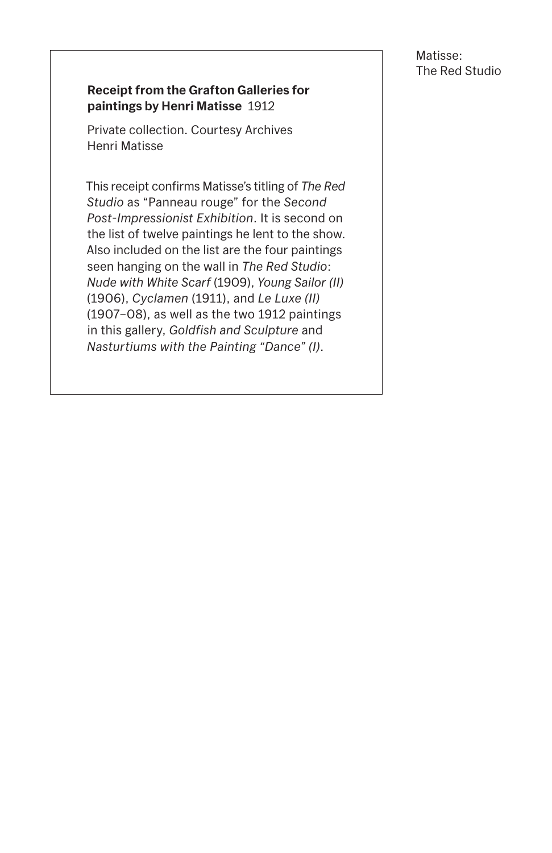#### **Receipt from the Grafton Galleries for paintings by Henri Matisse** 1912

Private collection. Courtesy Archives Henri Matisse

This receipt confirms Matisse's titling of *The Red Studio* as "Panneau rouge" for the *Second Post-Impressionist Exhibition*. It is second on the list of twelve paintings he lent to the show. Also included on the list are the four paintings seen hanging on the wall in *The Red Studio*: *Nude with White Scarf* (1909), *Young Sailor (II)* (1906), *Cyclamen* (1911), and *Le Luxe (II)* (1907–08), as well as the two 1912 paintings in this gallery, *Goldfish and Sculpture* and *Nasturtiums with the Painting "Dance" (I)*.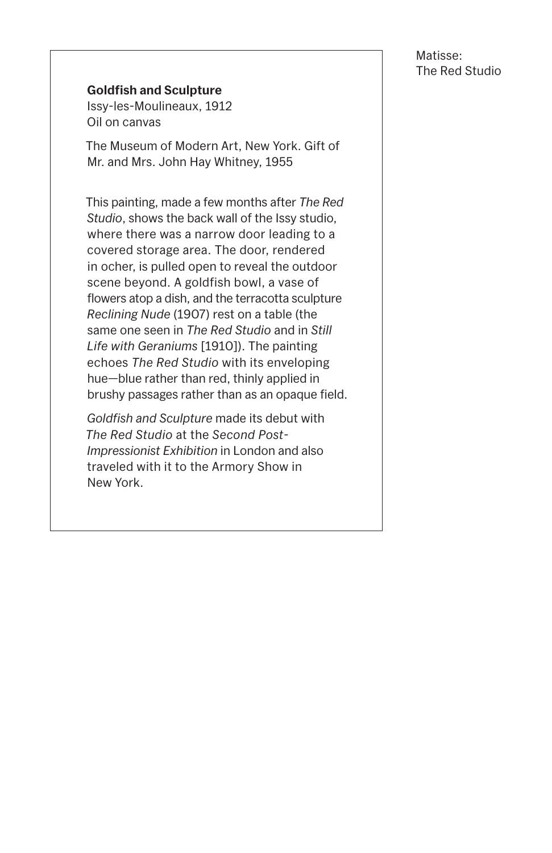#### **Goldfish and Sculpture**

Issy-les-Moulineaux, 1912 Oil on canvas

The Museum of Modern Art, New York. Gift of Mr. and Mrs. John Hay Whitney, 1955

This painting, made a few months after *The Red Studio*, shows the back wall of the Issy studio, where there was a narrow door leading to a covered storage area. The door, rendered in ocher, is pulled open to reveal the outdoor scene beyond. A goldfish bowl, a vase of flowers atop a dish, and the terracotta sculpture *Reclining Nude* (1907) rest on a table (the same one seen in *The Red Studio* and in *Still Life with Geraniums* [1910]). The painting echoes *The Red Studio* with its enveloping hue—blue rather than red, thinly applied in brushy passages rather than as an opaque field.

*Goldfish and Sculpture* made its debut with *The Red Studio* at the *Second Post-Impressionist Exhibition* in London and also traveled with it to the Armory Show in New York.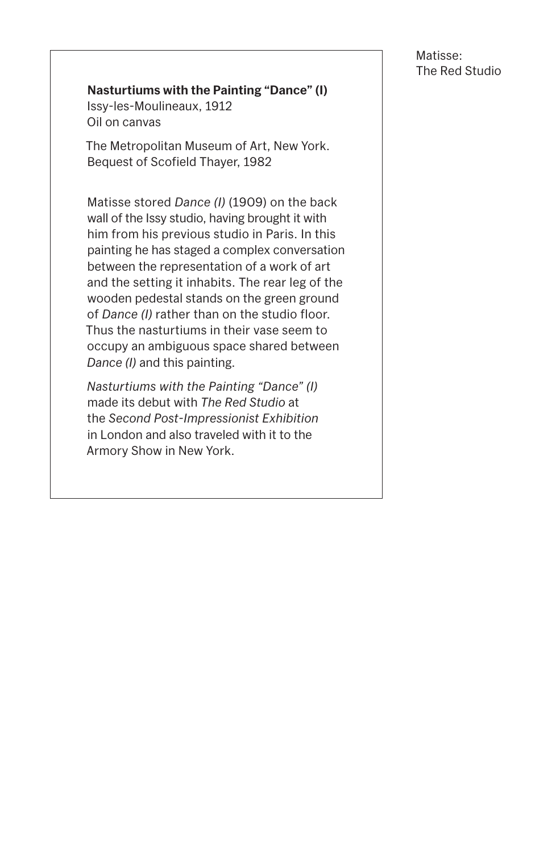#### **Nasturtiums with the Painting "Dance" (I)**

Issy-les-Moulineaux, 1912 Oil on canvas

The Metropolitan Museum of Art, New York. Bequest of Scofield Thayer, 1982

Matisse stored *Dance (I)* (1909) on the back wall of the Issy studio, having brought it with him from his previous studio in Paris. In this painting he has staged a complex conversation between the representation of a work of art and the setting it inhabits. The rear leg of the wooden pedestal stands on the green ground of *Dance (I)* rather than on the studio floor. Thus the nasturtiums in their vase seem to occupy an ambiguous space shared between *Dance (I)* and this painting.

*Nasturtiums with the Painting "Dance" (I)* made its debut with *The Red Studio* at the *Second Post-Impressionist Exhibition* in London and also traveled with it to the Armory Show in New York.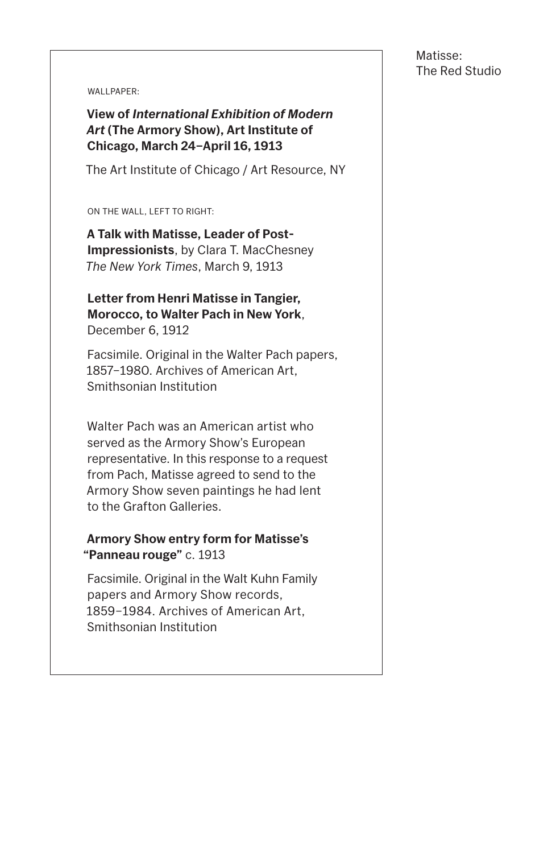WALLPAPER:

**View of** *International Exhibition of Modern Art* **(The Armory Show), Art Institute of Chicago, March 24–April 16, 1913**

The Art Institute of Chicago / Art Resource, NY

ON THE WALL, LEFT TO RIGHT:

**A Talk with Matisse, Leader of Post-Impressionists**, by Clara T. MacChesney *The New York Times*, March 9, 1913

**Letter from Henri Matisse in Tangier, Morocco, to Walter Pach in New York**, December 6, 1912

Facsimile. Original in the Walter Pach papers, 1857–1980. Archives of American Art, Smithsonian Institution

Walter Pach was an American artist who served as the Armory Show's European representative. In this response to a request from Pach, Matisse agreed to send to the Armory Show seven paintings he had lent to the Grafton Galleries.

#### **Armory Show entry form for Matisse's "Panneau rouge"** c. 1913

Facsimile. Original in the Walt Kuhn Family papers and Armory Show records, 1859–1984. Archives of American Art,

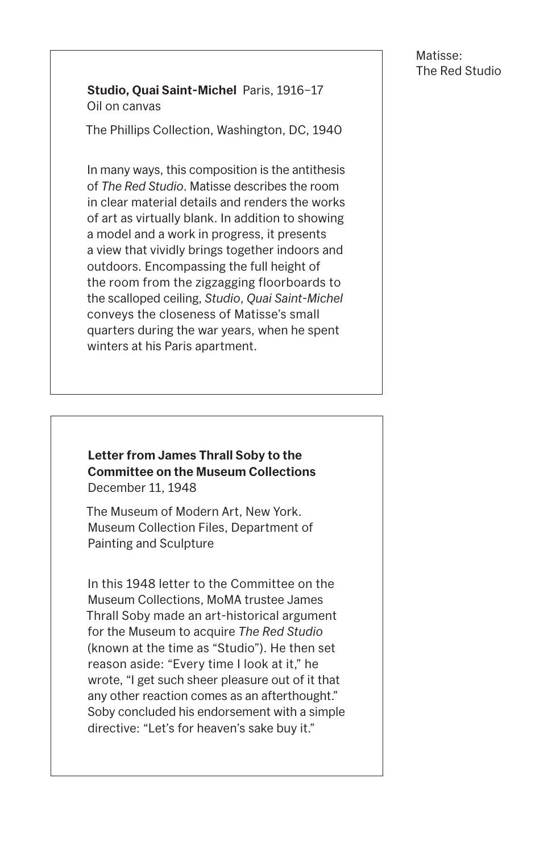#### **Studio, Quai Saint-Michel** Paris, 1916–17 Oil on canvas

The Phillips Collection, Washington, DC, 1940

In many ways, this composition is the antithesis of *The Red Studio*. Matisse describes the room in clear material details and renders the works of art as virtually blank. In addition to showing a model and a work in progress, it presents a view that vividly brings together indoors and outdoors. Encompassing the full height of the room from the zigzagging floorboards to the scalloped ceiling, *Studio*, *Quai Saint-Michel* conveys the closeness of Matisse's small quarters during the war years, when he spent winters at his Paris apartment.

#### **Letter from James Thrall Soby to the Committee on the Museum Collections** December 11, 1948

The Museum of Modern Art, New York. Museum Collection Files, Department of Painting and Sculpture

In this 1948 letter to the Committee on the Museum Collections, MoMA trustee James Thrall Soby made an art-historical argument for the Museum to acquire *The Red Studio* (known at the time as "Studio"). He then set reason aside: "Every time I look at it," he wrote, "I get such sheer pleasure out of it that any other reaction comes as an afterthought." Soby concluded his endorsement with a simple directive: "Let's for heaven's sake buy it."